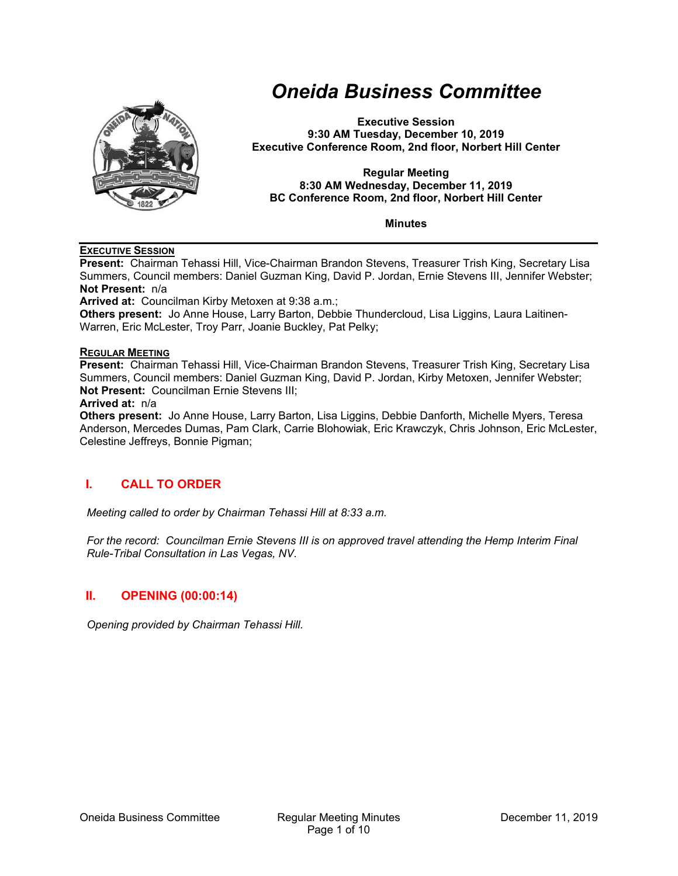

# *Oneida Business Committee*

**Executive Session 9:30 AM Tuesday, December 10, 2019 Executive Conference Room, 2nd floor, Norbert Hill Center** 

#### **Regular Meeting 8:30 AM Wednesday, December 11, 2019 BC Conference Room, 2nd floor, Norbert Hill Center**

**Minutes** 

#### **EXECUTIVE SESSION**

**Present:** Chairman Tehassi Hill, Vice-Chairman Brandon Stevens, Treasurer Trish King, Secretary Lisa Summers, Council members: Daniel Guzman King, David P. Jordan, Ernie Stevens III, Jennifer Webster; **Not Present:** n/a

**Arrived at:** Councilman Kirby Metoxen at 9:38 a.m.;

**Others present:** Jo Anne House, Larry Barton, Debbie Thundercloud, Lisa Liggins, Laura Laitinen-Warren, Eric McLester, Troy Parr, Joanie Buckley, Pat Pelky;

#### **REGULAR MEETING**

**Present:** Chairman Tehassi Hill, Vice-Chairman Brandon Stevens, Treasurer Trish King, Secretary Lisa Summers, Council members: Daniel Guzman King, David P. Jordan, Kirby Metoxen, Jennifer Webster; **Not Present:** Councilman Ernie Stevens III;

#### **Arrived at:** n/a

**Others present:** Jo Anne House, Larry Barton, Lisa Liggins, Debbie Danforth, Michelle Myers, Teresa Anderson, Mercedes Dumas, Pam Clark, Carrie Blohowiak, Eric Krawczyk, Chris Johnson, Eric McLester, Celestine Jeffreys, Bonnie Pigman;

# **I. CALL TO ORDER**

*Meeting called to order by Chairman Tehassi Hill at 8:33 a.m.* 

*For the record: Councilman Ernie Stevens III is on approved travel attending the Hemp Interim Final Rule-Tribal Consultation in Las Vegas, NV.* 

## **II. OPENING (00:00:14)**

*Opening provided by Chairman Tehassi Hill.*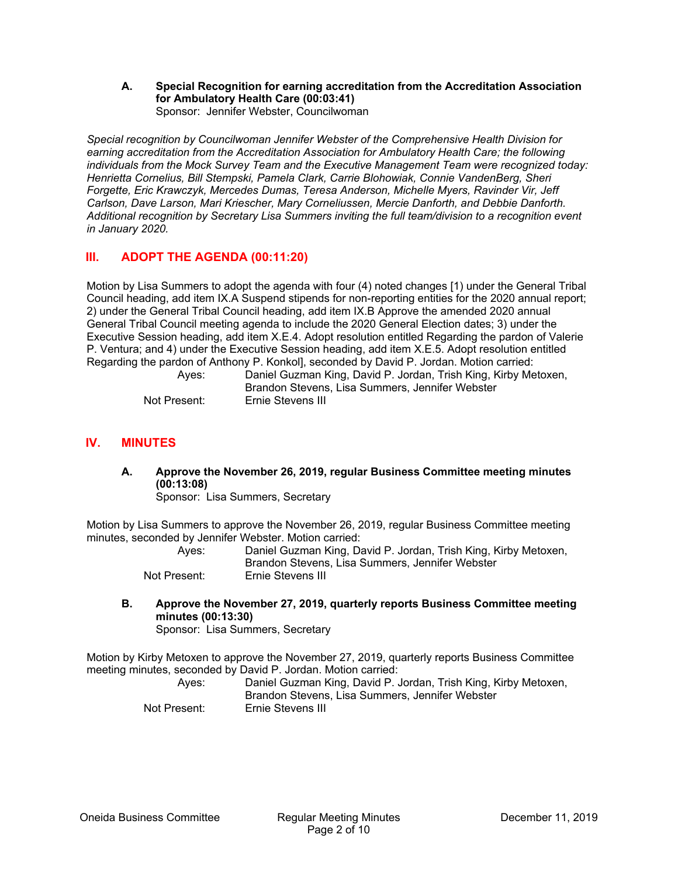**A. Special Recognition for earning accreditation from the Accreditation Association for Ambulatory Health Care (00:03:41)**  Sponsor: Jennifer Webster, Councilwoman

*Special recognition by Councilwoman Jennifer Webster of the Comprehensive Health Division for earning accreditation from the Accreditation Association for Ambulatory Health Care; the following individuals from the Mock Survey Team and the Executive Management Team were recognized today: Henrietta Cornelius, Bill Stempski, Pamela Clark, Carrie Blohowiak, Connie VandenBerg, Sheri Forgette, Eric Krawczyk, Mercedes Dumas, Teresa Anderson, Michelle Myers, Ravinder Vir, Jeff Carlson, Dave Larson, Mari Kriescher, Mary Corneliussen, Mercie Danforth, and Debbie Danforth. Additional recognition by Secretary Lisa Summers inviting the full team/division to a recognition event in January 2020.* 

# **III. ADOPT THE AGENDA (00:11:20)**

Motion by Lisa Summers to adopt the agenda with four (4) noted changes [1) under the General Tribal Council heading, add item IX.A Suspend stipends for non-reporting entities for the 2020 annual report; 2) under the General Tribal Council heading, add item IX.B Approve the amended 2020 annual General Tribal Council meeting agenda to include the 2020 General Election dates; 3) under the Executive Session heading, add item X.E.4. Adopt resolution entitled Regarding the pardon of Valerie P. Ventura; and 4) under the Executive Session heading, add item X.E.5. Adopt resolution entitled Regarding the pardon of Anthony P. Konkol], seconded by David P. Jordan. Motion carried:

| Aves:        | Daniel Guzman King, David P. Jordan, Trish King, Kirby Metoxen, |
|--------------|-----------------------------------------------------------------|
|              | Brandon Stevens, Lisa Summers, Jennifer Webster                 |
| Not Present: | Ernie Stevens III                                               |

## **IV. MINUTES**

**A. Approve the November 26, 2019, regular Business Committee meeting minutes (00:13:08)** 

Sponsor: Lisa Summers, Secretary

Motion by Lisa Summers to approve the November 26, 2019, regular Business Committee meeting minutes, seconded by Jennifer Webster. Motion carried:

| Ayes:        | Daniel Guzman King, David P. Jordan, Trish King, Kirby Metoxen,<br>Brandon Stevens, Lisa Summers, Jennifer Webster |
|--------------|--------------------------------------------------------------------------------------------------------------------|
| Not Present: | Ernie Stevens III                                                                                                  |

**B. Approve the November 27, 2019, quarterly reports Business Committee meeting minutes (00:13:30)** 

Sponsor: Lisa Summers, Secretary

Motion by Kirby Metoxen to approve the November 27, 2019, quarterly reports Business Committee meeting minutes, seconded by David P. Jordan. Motion carried:

| Aves:        | Daniel Guzman King, David P. Jordan, Trish King, Kirby Metoxen,<br>Brandon Stevens, Lisa Summers, Jennifer Webster |
|--------------|--------------------------------------------------------------------------------------------------------------------|
| Not Present: | Ernie Stevens III                                                                                                  |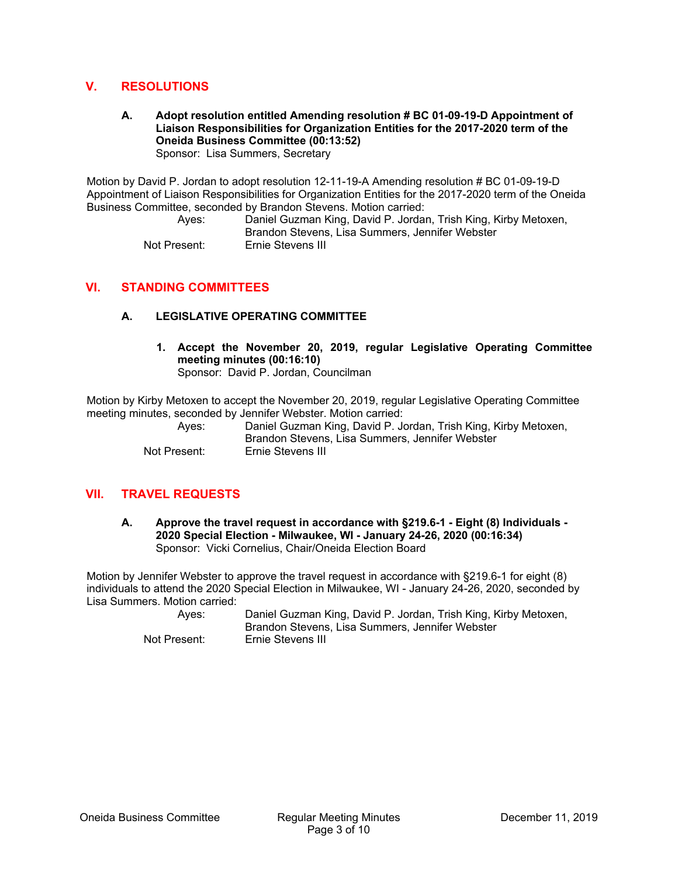## **V. RESOLUTIONS**

#### **A. Adopt resolution entitled Amending resolution # BC 01-09-19-D Appointment of Liaison Responsibilities for Organization Entities for the 2017-2020 term of the Oneida Business Committee (00:13:52)**  Sponsor: Lisa Summers, Secretary

Motion by David P. Jordan to adopt resolution 12-11-19-A Amending resolution # BC 01-09-19-D Appointment of Liaison Responsibilities for Organization Entities for the 2017-2020 term of the Oneida Business Committee, seconded by Brandon Stevens. Motion carried:

> Ayes: Daniel Guzman King, David P. Jordan, Trish King, Kirby Metoxen, Brandon Stevens, Lisa Summers, Jennifer Webster Not Present: Ernie Stevens III

## **VI. STANDING COMMITTEES**

## **A. LEGISLATIVE OPERATING COMMITTEE**

**1. Accept the November 20, 2019, regular Legislative Operating Committee meeting minutes (00:16:10)**  Sponsor: David P. Jordan, Councilman

Motion by Kirby Metoxen to accept the November 20, 2019, regular Legislative Operating Committee meeting minutes, seconded by Jennifer Webster. Motion carried:

 Ayes: Daniel Guzman King, David P. Jordan, Trish King, Kirby Metoxen, Brandon Stevens, Lisa Summers, Jennifer Webster Not Present: Ernie Stevens III

## **VII. TRAVEL REQUESTS**

**A. Approve the travel request in accordance with §219.6-1 - Eight (8) Individuals - 2020 Special Election - Milwaukee, WI - January 24-26, 2020 (00:16:34)**  Sponsor: Vicki Cornelius, Chair/Oneida Election Board

Motion by Jennifer Webster to approve the travel request in accordance with §219.6-1 for eight (8) individuals to attend the 2020 Special Election in Milwaukee, WI - January 24-26, 2020, seconded by Lisa Summers. Motion carried:

 Ayes: Daniel Guzman King, David P. Jordan, Trish King, Kirby Metoxen, Brandon Stevens, Lisa Summers, Jennifer Webster Not Present: Ernie Stevens III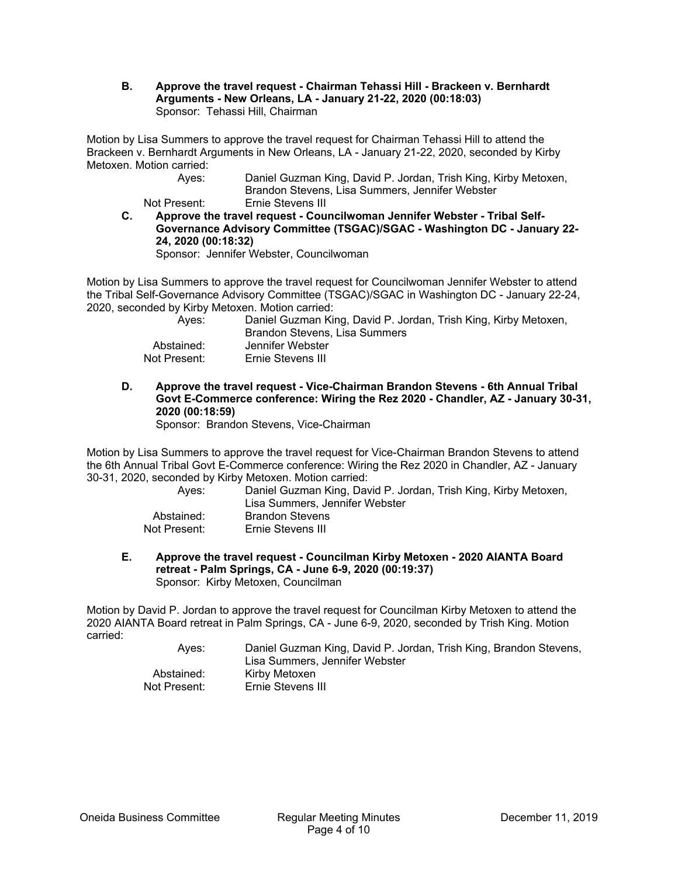**B. Approve the travel request - Chairman Tehassi Hill - Brackeen v. Bernhardt Arguments - New Orleans, LA - January 21-22, 2020 (00:18:03)**  Sponsor: Tehassi Hill, Chairman

Motion by Lisa Summers to approve the travel request for Chairman Tehassi Hill to attend the Brackeen v. Bernhardt Arguments in New Orleans, LA - January 21-22, 2020, seconded by Kirby Metoxen. Motion carried:

 Ayes: Daniel Guzman King, David P. Jordan, Trish King, Kirby Metoxen, Brandon Stevens, Lisa Summers, Jennifer Webster Not Present: Ernie Stevens III

**C. Approve the travel request - Councilwoman Jennifer Webster - Tribal Self-Governance Advisory Committee (TSGAC)/SGAC - Washington DC - January 22- 24, 2020 (00:18:32)**  Sponsor: Jennifer Webster, Councilwoman

Motion by Lisa Summers to approve the travel request for Councilwoman Jennifer Webster to attend the Tribal Self-Governance Advisory Committee (TSGAC)/SGAC in Washington DC - January 22-24, 2020, seconded by Kirby Metoxen. Motion carried:

| Aves:        | Daniel Guzman King, David P. Jordan, Trish King, Kirby Metoxen,<br>Brandon Stevens, Lisa Summers |
|--------------|--------------------------------------------------------------------------------------------------|
| Abstained:   | Jennifer Webster                                                                                 |
| Not Present: | Ernie Stevens III                                                                                |

**D. Approve the travel request - Vice-Chairman Brandon Stevens - 6th Annual Tribal Govt E-Commerce conference: Wiring the Rez 2020 - Chandler, AZ - January 30-31, 2020 (00:18:59)** 

Sponsor: Brandon Stevens, Vice-Chairman

Motion by Lisa Summers to approve the travel request for Vice-Chairman Brandon Stevens to attend the 6th Annual Tribal Govt E-Commerce conference: Wiring the Rez 2020 in Chandler, AZ - January 30-31, 2020, seconded by Kirby Metoxen. Motion carried:

| Aves:        | Daniel Guzman King, David P. Jordan, Trish King, Kirby Metoxen,<br>Lisa Summers, Jennifer Webster |
|--------------|---------------------------------------------------------------------------------------------------|
| Abstained:   | <b>Brandon Stevens</b>                                                                            |
| Not Present: | Ernie Stevens III                                                                                 |

**E. Approve the travel request - Councilman Kirby Metoxen - 2020 AIANTA Board retreat - Palm Springs, CA - June 6-9, 2020 (00:19:37)**  Sponsor: Kirby Metoxen, Councilman

Motion by David P. Jordan to approve the travel request for Councilman Kirby Metoxen to attend the 2020 AIANTA Board retreat in Palm Springs, CA - June 6-9, 2020, seconded by Trish King. Motion carried:

 Ayes: Daniel Guzman King, David P. Jordan, Trish King, Brandon Stevens, Lisa Summers, Jennifer Webster Abstained: Kirby Metoxen Not Present: Ernie Stevens III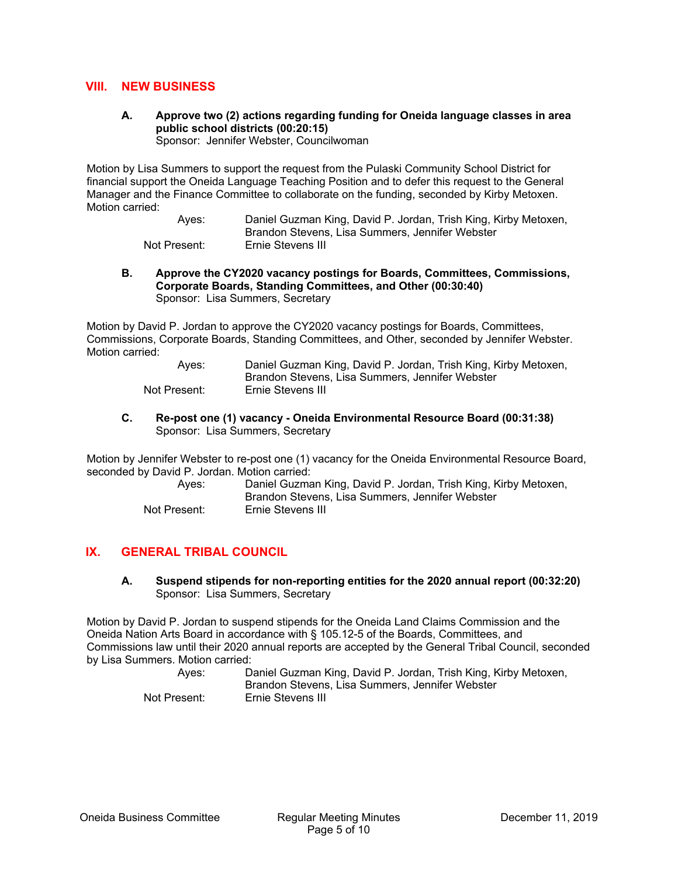## **VIII. NEW BUSINESS**

**A. Approve two (2) actions regarding funding for Oneida language classes in area public school districts (00:20:15)** 

Sponsor: Jennifer Webster, Councilwoman

Motion by Lisa Summers to support the request from the Pulaski Community School District for financial support the Oneida Language Teaching Position and to defer this request to the General Manager and the Finance Committee to collaborate on the funding, seconded by Kirby Metoxen. Motion carried:

> Ayes: Daniel Guzman King, David P. Jordan, Trish King, Kirby Metoxen, Brandon Stevens, Lisa Summers, Jennifer Webster Not Present: Ernie Stevens III

**B. Approve the CY2020 vacancy postings for Boards, Committees, Commissions, Corporate Boards, Standing Committees, and Other (00:30:40)**  Sponsor: Lisa Summers, Secretary

Motion by David P. Jordan to approve the CY2020 vacancy postings for Boards, Committees, Commissions, Corporate Boards, Standing Committees, and Other, seconded by Jennifer Webster. Motion carried:

> Ayes: Daniel Guzman King, David P. Jordan, Trish King, Kirby Metoxen, Brandon Stevens, Lisa Summers, Jennifer Webster Not Present: Ernie Stevens III

**C. Re-post one (1) vacancy - Oneida Environmental Resource Board (00:31:38)**  Sponsor: Lisa Summers, Secretary

Motion by Jennifer Webster to re-post one (1) vacancy for the Oneida Environmental Resource Board, seconded by David P. Jordan. Motion carried:

| Aves:        | Daniel Guzman King, David P. Jordan, Trish King, Kirby Metoxen,<br>Brandon Stevens, Lisa Summers, Jennifer Webster |
|--------------|--------------------------------------------------------------------------------------------------------------------|
| Not Present: | Ernie Stevens III                                                                                                  |

# **IX. GENERAL TRIBAL COUNCIL**

#### **A. Suspend stipends for non-reporting entities for the 2020 annual report (00:32:20)**  Sponsor: Lisa Summers, Secretary

Motion by David P. Jordan to suspend stipends for the Oneida Land Claims Commission and the Oneida Nation Arts Board in accordance with § 105.12-5 of the Boards, Committees, and Commissions law until their 2020 annual reports are accepted by the General Tribal Council, seconded by Lisa Summers. Motion carried:

| Aves:        | Daniel Guzman King, David P. Jordan, Trish King, Kirby Metoxen,<br>Brandon Stevens, Lisa Summers, Jennifer Webster |
|--------------|--------------------------------------------------------------------------------------------------------------------|
| Not Present: | Ernie Stevens III                                                                                                  |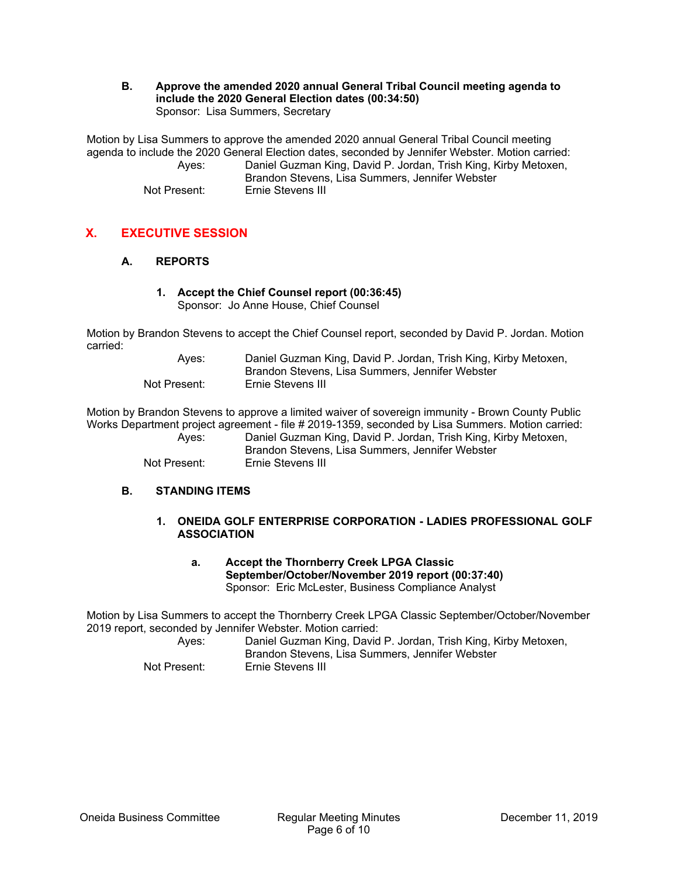**B. Approve the amended 2020 annual General Tribal Council meeting agenda to include the 2020 General Election dates (00:34:50)**  Sponsor: Lisa Summers, Secretary

Motion by Lisa Summers to approve the amended 2020 annual General Tribal Council meeting agenda to include the 2020 General Election dates, seconded by Jennifer Webster. Motion carried: Ayes: Daniel Guzman King, David P. Jordan, Trish King, Kirby Metoxen, Brandon Stevens, Lisa Summers, Jennifer Webster Not Present: Ernie Stevens III

# **X. EXECUTIVE SESSION**

## **A. REPORTS**

**1. Accept the Chief Counsel report (00:36:45)**  Sponsor: Jo Anne House, Chief Counsel

Motion by Brandon Stevens to accept the Chief Counsel report, seconded by David P. Jordan. Motion carried:

| Aves:        | Daniel Guzman King, David P. Jordan, Trish King, Kirby Metoxen, |
|--------------|-----------------------------------------------------------------|
|              | Brandon Stevens, Lisa Summers, Jennifer Webster                 |
| Not Present: | Ernie Stevens III                                               |

Motion by Brandon Stevens to approve a limited waiver of sovereign immunity - Brown County Public Works Department project agreement - file # 2019-1359, seconded by Lisa Summers. Motion carried:

| Ayes:        | Daniel Guzman King, David P. Jordan, Trish King, Kirby Metoxen, |
|--------------|-----------------------------------------------------------------|
|              | Brandon Stevens, Lisa Summers, Jennifer Webster                 |
| Not Present: | Ernie Stevens III                                               |

## **B. STANDING ITEMS**

#### **1. ONEIDA GOLF ENTERPRISE CORPORATION - LADIES PROFESSIONAL GOLF ASSOCIATION**

#### **a. Accept the Thornberry Creek LPGA Classic September/October/November 2019 report (00:37:40)**  Sponsor: Eric McLester, Business Compliance Analyst

Motion by Lisa Summers to accept the Thornberry Creek LPGA Classic September/October/November 2019 report, seconded by Jennifer Webster. Motion carried:

 Ayes: Daniel Guzman King, David P. Jordan, Trish King, Kirby Metoxen, Brandon Stevens, Lisa Summers, Jennifer Webster

Not Present: Ernie Stevens III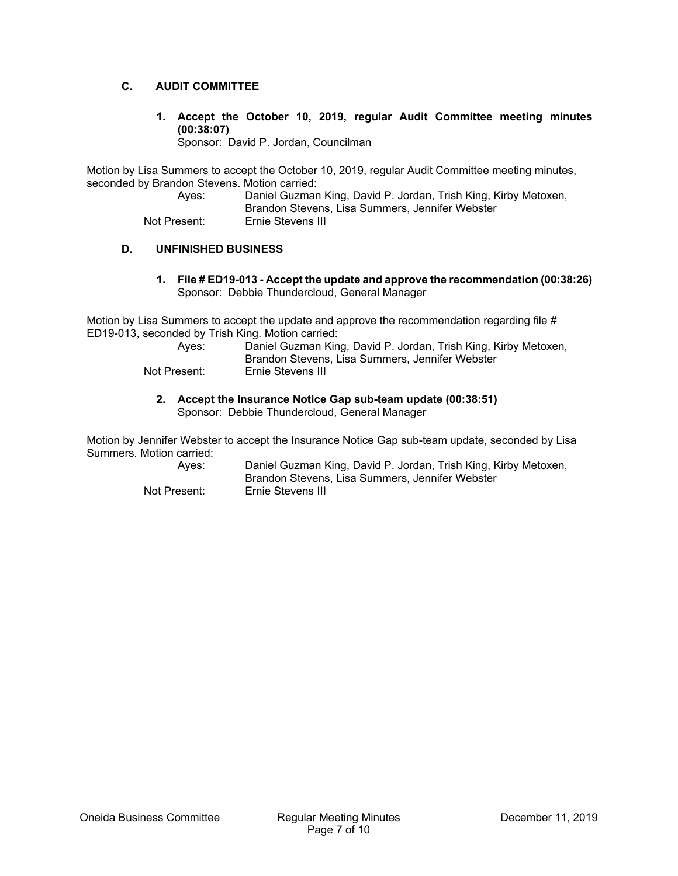## **C. AUDIT COMMITTEE**

**1. Accept the October 10, 2019, regular Audit Committee meeting minutes (00:38:07)** 

Sponsor: David P. Jordan, Councilman

Motion by Lisa Summers to accept the October 10, 2019, regular Audit Committee meeting minutes, seconded by Brandon Stevens. Motion carried:

 Ayes: Daniel Guzman King, David P. Jordan, Trish King, Kirby Metoxen, Brandon Stevens, Lisa Summers, Jennifer Webster

Not Present: Ernie Stevens III

## **D. UNFINISHED BUSINESS**

**1. File # ED19-013 - Accept the update and approve the recommendation (00:38:26)**  Sponsor: Debbie Thundercloud, General Manager

Motion by Lisa Summers to accept the update and approve the recommendation regarding file # ED19-013, seconded by Trish King. Motion carried:

| Aves:        | Daniel Guzman King, David P. Jordan, Trish King, Kirby Metoxen,<br>Brandon Stevens, Lisa Summers, Jennifer Webster |
|--------------|--------------------------------------------------------------------------------------------------------------------|
| Not Present: | Ernie Stevens III                                                                                                  |

**2. Accept the Insurance Notice Gap sub-team update (00:38:51)**  Sponsor: Debbie Thundercloud, General Manager

Motion by Jennifer Webster to accept the Insurance Notice Gap sub-team update, seconded by Lisa Summers. Motion carried:

 Ayes: Daniel Guzman King, David P. Jordan, Trish King, Kirby Metoxen, Brandon Stevens, Lisa Summers, Jennifer Webster Not Present: Ernie Stevens III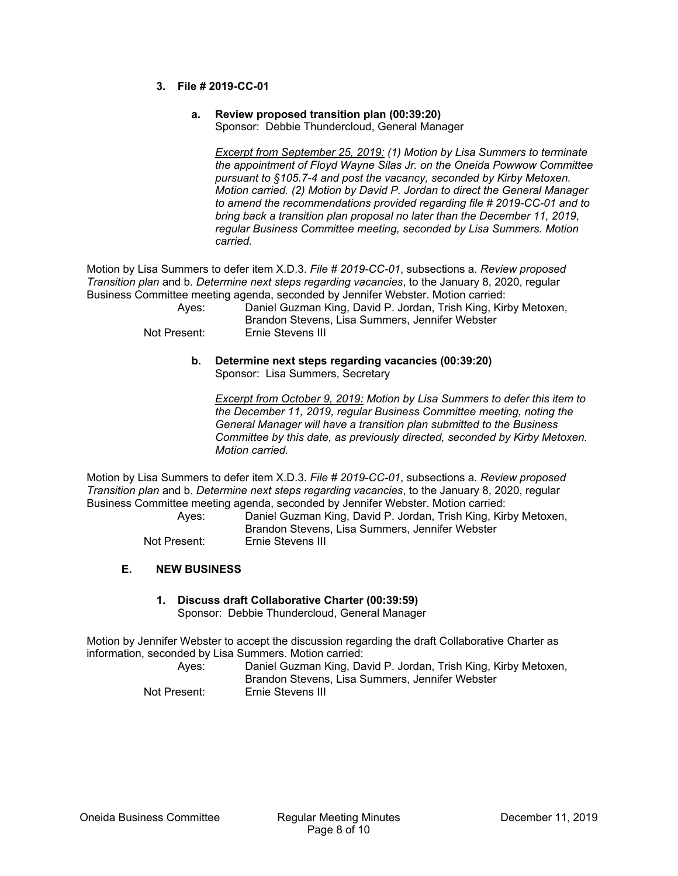#### **3. File # 2019-CC-01**

#### **a. Review proposed transition plan (00:39:20)**  Sponsor: Debbie Thundercloud, General Manager

*Excerpt from September 25, 2019: (1) Motion by Lisa Summers to terminate the appointment of Floyd Wayne Silas Jr. on the Oneida Powwow Committee pursuant to §105.7-4 and post the vacancy, seconded by Kirby Metoxen. Motion carried. (2) Motion by David P. Jordan to direct the General Manager to amend the recommendations provided regarding file # 2019-CC-01 and to bring back a transition plan proposal no later than the December 11, 2019, regular Business Committee meeting, seconded by Lisa Summers. Motion carried.*

Motion by Lisa Summers to defer item X.D.3. *File # 2019-CC-01*, subsections a. *Review proposed Transition plan* and b. *Determine next steps regarding vacancies*, to the January 8, 2020, regular Business Committee meeting agenda, seconded by Jennifer Webster. Motion carried:

| Aves:        | Daniel Guzman King, David P. Jordan, Trish King, Kirby Metoxen,<br>Brandon Stevens, Lisa Summers, Jennifer Webster |
|--------------|--------------------------------------------------------------------------------------------------------------------|
| Not Present: | Ernie Stevens III                                                                                                  |

#### **b. Determine next steps regarding vacancies (00:39:20)**  Sponsor: Lisa Summers, Secretary

*Excerpt from October 9, 2019: Motion by Lisa Summers to defer this item to the December 11, 2019, regular Business Committee meeting, noting the General Manager will have a transition plan submitted to the Business Committee by this date, as previously directed, seconded by Kirby Metoxen. Motion carried.*

Motion by Lisa Summers to defer item X.D.3. *File # 2019-CC-01*, subsections a. *Review proposed Transition plan* and b. *Determine next steps regarding vacancies*, to the January 8, 2020, regular Business Committee meeting agenda, seconded by Jennifer Webster. Motion carried:

 Ayes: Daniel Guzman King, David P. Jordan, Trish King, Kirby Metoxen, Brandon Stevens, Lisa Summers, Jennifer Webster Not Present: Ernie Stevens III

## **E. NEW BUSINESS**

# **1. Discuss draft Collaborative Charter (00:39:59)**

Sponsor: Debbie Thundercloud, General Manager

Motion by Jennifer Webster to accept the discussion regarding the draft Collaborative Charter as information, seconded by Lisa Summers. Motion carried:

| Aves:        | Daniel Guzman King, David P. Jordan, Trish King, Kirby Metoxen,<br>Brandon Stevens, Lisa Summers, Jennifer Webster |
|--------------|--------------------------------------------------------------------------------------------------------------------|
| Not Present: | Ernie Stevens III                                                                                                  |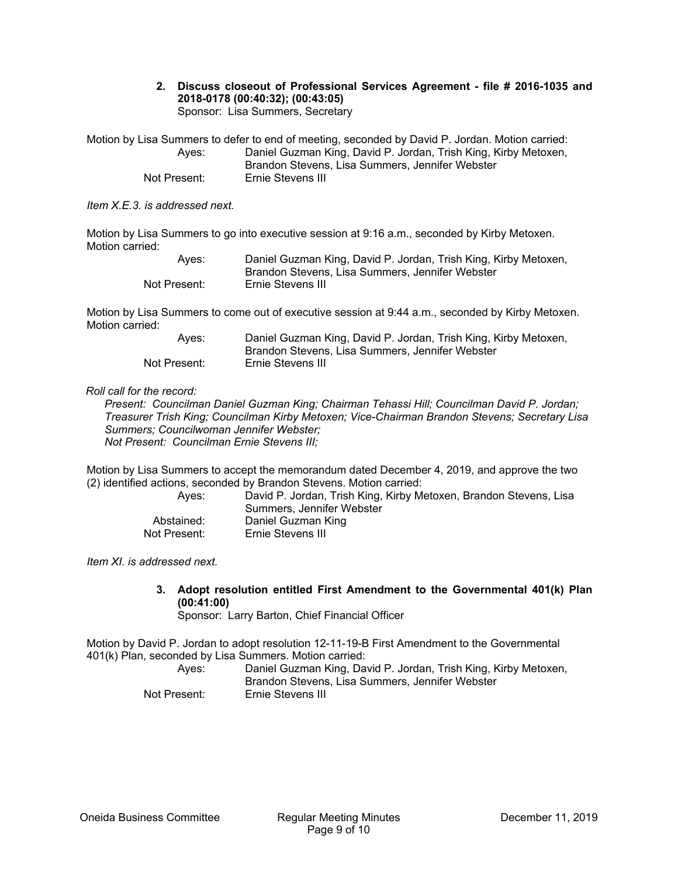#### **2. Discuss closeout of Professional Services Agreement - file # 2016-1035 and 2018-0178 (00:40:32); (00:43:05)**  Sponsor: Lisa Summers, Secretary

Motion by Lisa Summers to defer to end of meeting, seconded by David P. Jordan. Motion carried: Ayes: Daniel Guzman King, David P. Jordan, Trish King, Kirby Metoxen, Brandon Stevens, Lisa Summers, Jennifer Webster Not Present: Ernie Stevens III

*Item X.E.3. is addressed next.* 

Motion by Lisa Summers to go into executive session at 9:16 a.m., seconded by Kirby Metoxen. Motion carried:

| Aves:        | Daniel Guzman King, David P. Jordan, Trish King, Kirby Metoxen, |
|--------------|-----------------------------------------------------------------|
|              | Brandon Stevens, Lisa Summers, Jennifer Webster                 |
| Not Present: | Ernie Stevens III                                               |

Motion by Lisa Summers to come out of executive session at 9:44 a.m., seconded by Kirby Metoxen. Motion carried:

| Aves:        | Daniel Guzman King, David P. Jordan, Trish King, Kirby Metoxen, |
|--------------|-----------------------------------------------------------------|
|              | Brandon Stevens, Lisa Summers, Jennifer Webster                 |
| Not Present: | Ernie Stevens III                                               |

#### *Roll call for the record:*

*Present: Councilman Daniel Guzman King; Chairman Tehassi Hill; Councilman David P. Jordan; Treasurer Trish King; Councilman Kirby Metoxen; Vice-Chairman Brandon Stevens; Secretary Lisa Summers; Councilwoman Jennifer Webster; Not Present: Councilman Ernie Stevens III;* 

Motion by Lisa Summers to accept the memorandum dated December 4, 2019, and approve the two (2) identified actions, seconded by Brandon Stevens. Motion carried:

| Aves:        | David P. Jordan, Trish King, Kirby Metoxen, Brandon Stevens, Lisa<br>Summers. Jennifer Webster |
|--------------|------------------------------------------------------------------------------------------------|
| Abstained:   | Daniel Guzman King                                                                             |
| Not Present: | Ernie Stevens III                                                                              |

*Item XI. is addressed next.* 

**3. Adopt resolution entitled First Amendment to the Governmental 401(k) Plan (00:41:00)** 

Sponsor: Larry Barton, Chief Financial Officer

Motion by David P. Jordan to adopt resolution 12-11-19-B First Amendment to the Governmental 401(k) Plan, seconded by Lisa Summers. Motion carried:

| Aves:        | Daniel Guzman King, David P. Jordan, Trish King, Kirby Metoxen, |
|--------------|-----------------------------------------------------------------|
|              | Brandon Stevens, Lisa Summers, Jennifer Webster                 |
| Not Present: | Ernie Stevens III                                               |